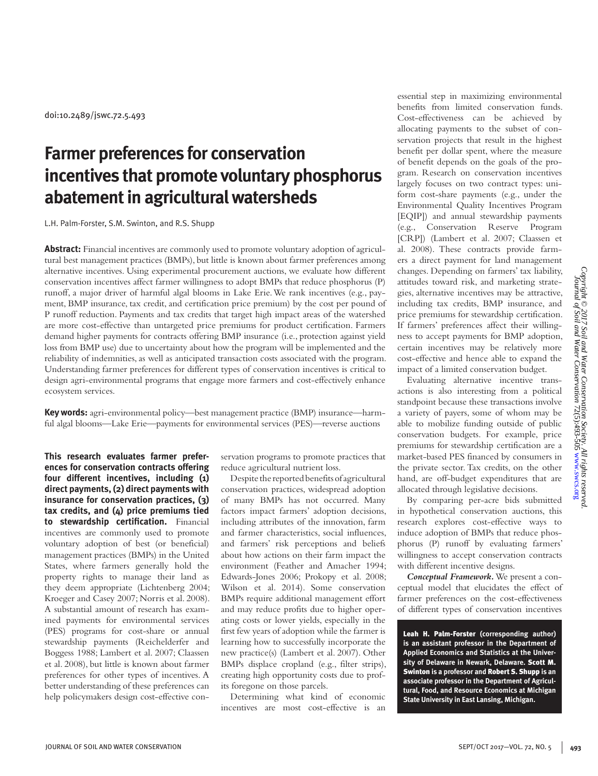doi:10.2489/jswc.72.5.493

# **Farmer preferences for conservation incentives that promote voluntary phosphorus abatement in agricultural watersheds**

L.H. Palm-Forster, S.M. Swinton, and R.S. Shupp

**Abstract:** Financial incentives are commonly used to promote voluntary adoption of agricultural best management practices (BMPs), but little is known about farmer preferences among alternative incentives. Using experimental procurement auctions, we evaluate how different conservation incentives affect farmer willingness to adopt BMPs that reduce phosphorus (P) runoff, a major driver of harmful algal blooms in Lake Erie. We rank incentives (e.g., payment, BMP insurance, tax credit, and certification price premium) by the cost per pound of P runoff reduction. Payments and tax credits that target high impact areas of the watershed are more cost-effective than untargeted price premiums for product certification. Farmers demand higher payments for contracts offering BMP insurance (i.e., protection against yield loss from BMP use) due to uncertainty about how the program will be implemented and the reliability of indemnities, as well as anticipated transaction costs associated with the program. Understanding farmer preferences for different types of conservation incentives is critical to design agri-environmental programs that engage more farmers and cost-effectively enhance ecosystem services.

**Key words:** agri-environmental policy—best management practice (BMP) insurance—harmful algal blooms—Lake Erie—payments for environmental services (PES)—reverse auctions

**This research evaluates farmer preferences for conservation contracts offering four different incentives, including (1) direct payments, (2) direct payments with insurance for conservation practices, (3) tax credits, and (4) price premiums tied to stewardship certification.** Financial incentives are commonly used to promote voluntary adoption of best (or beneficial) management practices (BMPs) in the United States, where farmers generally hold the property rights to manage their land as they deem appropriate (Lichtenberg 2004; Kroeger and Casey 2007; Norris et al. 2008). A substantial amount of research has examined payments for environmental services (PES) programs for cost-share or annual stewardship payments (Reichelderfer and Boggess 1988; Lambert et al. 2007; Claassen et al. 2008), but little is known about farmer preferences for other types of incentives. A better understanding of these preferences can help policymakers design cost-effective con-

servation programs to promote practices that reduce agricultural nutrient loss.

Despite the reported benefits of agricultural conservation practices, widespread adoption of many BMPs has not occurred. Many factors impact farmers' adoption decisions, including attributes of the innovation, farm and farmer characteristics, social influences, and farmers' risk perceptions and beliefs about how actions on their farm impact the environment (Feather and Amacher 1994; Edwards-Jones 2006; Prokopy et al. 2008; Wilson et al. 2014). Some conservation BMPs require additional management effort and may reduce profits due to higher operating costs or lower yields, especially in the first few years of adoption while the farmer is learning how to successfully incorporate the new practice(s) (Lambert et al. 2007). Other BMPs displace cropland (e.g., filter strips), creating high opportunity costs due to profits foregone on those parcels.

Determining what kind of economic incentives are most cost-effective is an

essential step in maximizing environmental benefits from limited conservation funds. Cost-effectiveness can be achieved by allocating payments to the subset of conservation projects that result in the highest benefit per dollar spent, where the measure of benefit depends on the goals of the program. Research on conservation incentives largely focuses on two contract types: uniform cost-share payments (e.g., under the Environmental Quality Incentives Program [EQIP]) and annual stewardship payments (e.g., Conservation Reserve Program [CRP]) (Lambert et al. 2007; Claassen et al. 2008). These contracts provide farmers a direct payment for land management changes. Depending on farmers' tax liability, attitudes toward risk, and marketing strategies, alternative incentives may be attractive, including tax credits, BMP insurance, and price premiums for stewardship certification. If farmers' preferences affect their willingness to accept payments for BMP adoption, certain incentives may be relatively more cost-effective and hence able to expand the impact of a limited conservation budget.

Evaluating alternative incentive transactions is also interesting from a political standpoint because these transactions involve a variety of payers, some of whom may be able to mobilize funding outside of public conservation budgets. For example, price premiums for stewardship certification are a market-based PES financed by consumers in the private sector. Tax credits, on the other hand, are off-budget expenditures that are allocated through legislative decisions.

By comparing per-acre bids submitted in hypothetical conservation auctions, this research explores cost-effective ways to induce adoption of BMPs that reduce phosphorus (P) runoff by evaluating farmers' willingness to accept conservation contracts with different incentive designs.

*Conceptual Framework.* We present a conceptual model that elucidates the effect of farmer preferences on the cost-effectiveness of different types of conservation incentives

Leah H. Palm-Forster **(corresponding author) is an assistant professor in the Department of Applied Economics and Statistics at the University of Delaware in Newark, Delaware.** Scott M. Swinton **is a professor and** Robert S. Shupp **is an associate professor in the Department of Agricultural, Food, and Resource Economics at Michigan State University in East Lansing, Michigan.**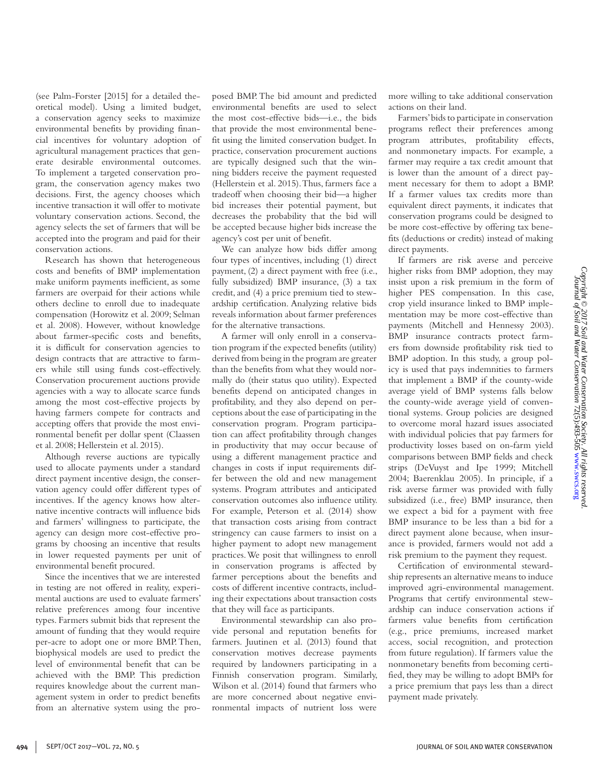(see Palm-Forster [2015] for a detailed theoretical model). Using a limited budget, a conservation agency seeks to maximize environmental benefits by providing financial incentives for voluntary adoption of agricultural management practices that generate desirable environmental outcomes. To implement a targeted conservation program, the conservation agency makes two decisions. First, the agency chooses which incentive transaction it will offer to motivate voluntary conservation actions. Second, the agency selects the set of farmers that will be accepted into the program and paid for their conservation actions.

Research has shown that heterogeneous costs and benefits of BMP implementation make uniform payments inefficient, as some farmers are overpaid for their actions while others decline to enroll due to inadequate compensation (Horowitz et al. 2009; Selman et al. 2008). However, without knowledge about farmer-specific costs and benefits, it is difficult for conservation agencies to design contracts that are attractive to farmers while still using funds cost-effectively. Conservation procurement auctions provide agencies with a way to allocate scarce funds among the most cost-effective projects by having farmers compete for contracts and accepting offers that provide the most environmental benefit per dollar spent (Claassen et al. 2008; Hellerstein et al. 2015).

Although reverse auctions are typically used to allocate payments under a standard direct payment incentive design, the conservation agency could offer different types of incentives. If the agency knows how alternative incentive contracts will influence bids and farmers' willingness to participate, the agency can design more cost-effective programs by choosing an incentive that results in lower requested payments per unit of environmental benefit procured.

Since the incentives that we are interested in testing are not offered in reality, experimental auctions are used to evaluate farmers' relative preferences among four incentive types. Farmers submit bids that represent the amount of funding that they would require per-acre to adopt one or more BMP. Then, biophysical models are used to predict the level of environmental benefit that can be achieved with the BMP. This prediction requires knowledge about the current management system in order to predict benefits from an alternative system using the proposed BMP. The bid amount and predicted environmental benefits are used to select the most cost-effective bids—i.e., the bids that provide the most environmental benefit using the limited conservation budget. In practice, conservation procurement auctions are typically designed such that the winning bidders receive the payment requested (Hellerstein et al. 2015). Thus, farmers face a tradeoff when choosing their bid—a higher bid increases their potential payment, but decreases the probability that the bid will be accepted because higher bids increase the agency's cost per unit of benefit.

We can analyze how bids differ among four types of incentives, including (1) direct payment, (2) a direct payment with free (i.e., fully subsidized) BMP insurance, (3) a tax credit, and (4) a price premium tied to stewardship certification. Analyzing relative bids reveals information about farmer preferences for the alternative transactions.

A farmer will only enroll in a conservation program if the expected benefits (utility) derived from being in the program are greater than the benefits from what they would normally do (their status quo utility). Expected benefits depend on anticipated changes in profitability, and they also depend on perceptions about the ease of participating in the conservation program. Program participation can affect profitability through changes in productivity that may occur because of using a different management practice and changes in costs if input requirements differ between the old and new management systems. Program attributes and anticipated conservation outcomes also influence utility. For example, Peterson et al. (2014) show that transaction costs arising from contract stringency can cause farmers to insist on a higher payment to adopt new management practices. We posit that willingness to enroll in conservation programs is affected by farmer perceptions about the benefits and costs of different incentive contracts, including their expectations about transaction costs that they will face as participants.

Environmental stewardship can also provide personal and reputation benefits for farmers. Juutinen et al. (2013) found that conservation motives decrease payments required by landowners participating in a Finnish conservation program. Similarly, Wilson et al. (2014) found that farmers who are more concerned about negative environmental impacts of nutrient loss were

more willing to take additional conservation actions on their land.

Farmers' bids to participate in conservation programs reflect their preferences among program attributes, profitability effects, and nonmonetary impacts. For example, a farmer may require a tax credit amount that is lower than the amount of a direct payment necessary for them to adopt a BMP. If a farmer values tax credits more than equivalent direct payments, it indicates that conservation programs could be designed to be more cost-effective by offering tax benefits (deductions or credits) instead of making direct payments.

If farmers are risk averse and perceive higher risks from BMP adoption, they may insist upon a risk premium in the form of higher PES compensation. In this case, crop yield insurance linked to BMP implementation may be more cost-effective than payments (Mitchell and Hennessy 2003). BMP insurance contracts protect farmers from downside profitability risk tied to BMP adoption. In this study, a group policy is used that pays indemnities to farmers that implement a BMP if the county-wide average yield of BMP systems falls below the county-wide average yield of conventional systems. Group policies are designed to overcome moral hazard issues associated with individual policies that pay farmers for productivity losses based on on-farm yield comparisons between BMP fields and check strips (DeVuyst and Ipe 1999; Mitchell 2004; Baerenklau 2005). In principle, if a risk averse farmer was provided with fully subsidized (i.e., free) BMP insurance, then we expect a bid for a payment with free BMP insurance to be less than a bid for a direct payment alone because, when insurance is provided, farmers would not add a risk premium to the payment they request.

Certification of environmental stewardship represents an alternative means to induce improved agri-environmental management. Programs that certify environmental stewardship can induce conservation actions if farmers value benefits from certification (e.g., price premiums, increased market access, social recognition, and protection from future regulation). If farmers value the nonmonetary benefits from becoming certified, they may be willing to adopt BMPs for a price premium that pays less than a direct payment made privately.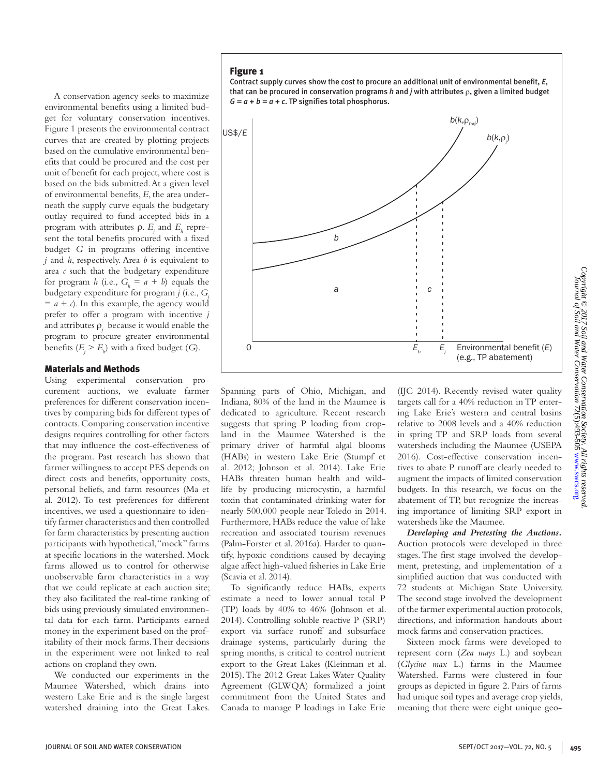A conservation agency seeks to maximize environmental benefits using a limited budget for voluntary conservation incentives. Figure 1 presents the environmental contract curves that are created by plotting projects based on the cumulative environmental benefits that could be procured and the cost per unit of benefit for each project, where cost is based on the bids submitted. At a given level of environmental benefits, *E*, the area underneath the supply curve equals the budgetary outlay required to fund accepted bids in a program with attributes  $ρ$ . *E<sub>j</sub>* and *E<sub>h</sub>* represent the total benefits procured with a fixed budget *G* in programs offering incentive *j* and *h*, respectively. Area *b* is equivalent to area *c* such that the budgetary expenditure for program *h* (i.e.,  $G_h = a + b$ ) equals the budgetary expenditure for program *j* (i.e., *Gj*  $= a + c$ ). In this example, the agency would prefer to offer a program with incentive *j*  and attributes  $\rho_j$  because it would enable the program to procure greater environmental benefits  $(E_j > E_h)$  with a fixed budget (*G*).

Figure 1

#### Materials and Methods

Using experimental conservation procurement auctions, we evaluate farmer preferences for different conservation incentives by comparing bids for different types of contracts. Comparing conservation incentive designs requires controlling for other factors that may influence the cost-effectiveness of the program. Past research has shown that farmer willingness to accept PES depends on direct costs and benefits, opportunity costs, personal beliefs, and farm resources (Ma et al. 2012). To test preferences for different incentives, we used a questionnaire to identify farmer characteristics and then controlled for farm characteristics by presenting auction participants with hypothetical, "mock" farms at specific locations in the watershed. Mock farms allowed us to control for otherwise unobservable farm characteristics in a way that we could replicate at each auction site; they also facilitated the real-time ranking of bids using previously simulated environmental data for each farm. Participants earned money in the experiment based on the profitability of their mock farms. Their decisions in the experiment were not linked to real actions on cropland they own.

We conducted our experiments in the Maumee Watershed, which drains into western Lake Erie and is the single largest watershed draining into the Great Lakes. Spanning parts of Ohio, Michigan, and Indiana, 80% of the land in the Maumee is dedicated to agriculture. Recent research suggests that spring P loading from cropland in the Maumee Watershed is the primary driver of harmful algal blooms (HABs) in western Lake Erie (Stumpf et al. 2012; Johnson et al. 2014). Lake Erie HABs threaten human health and wildlife by producing microcystin, a harmful toxin that contaminated drinking water for nearly 500,000 people near Toledo in 2014. Furthermore, HABs reduce the value of lake recreation and associated tourism revenues (Palm-Forster et al. 2016a). Harder to quantify, hypoxic conditions caused by decaying algae affect high-valued fisheries in Lake Erie (Scavia et al. 2014).

To significantly reduce HABs, experts estimate a need to lower annual total P (TP) loads by 40% to 46% (Johnson et al. 2014). Controlling soluble reactive P (SRP) export via surface runoff and subsurface drainage systems, particularly during the spring months, is critical to control nutrient export to the Great Lakes (Kleinman et al. 2015). The 2012 Great Lakes Water Quality Agreement (GLWQA) formalized a joint commitment from the United States and Canada to manage P loadings in Lake Erie

(IJC 2014). Recently revised water quality targets call for a 40% reduction in TP entering Lake Erie's western and central basins relative to 2008 levels and a 40% reduction in spring TP and SRP loads from several watersheds including the Maumee (USEPA 2016). Cost-effective conservation incentives to abate P runoff are clearly needed to augment the impacts of limited conservation budgets. In this research, we focus on the abatement of TP, but recognize the increasing importance of limiting SRP export in watersheds like the Maumee.

*Developing and Pretesting the Auctions.*  Auction protocols were developed in three stages. The first stage involved the development, pretesting, and implementation of a simplified auction that was conducted with 72 students at Michigan State University. The second stage involved the development of the farmer experimental auction protocols, directions, and information handouts about mock farms and conservation practices.

Sixteen mock farms were developed to represent corn (*Zea mays* L.) and soybean (*Glycine max* L.) farms in the Maumee Watershed. Farms were clustered in four groups as depicted in figure 2. Pairs of farms had unique soil types and average crop yields, meaning that there were eight unique geo-

Contract supply curves show the cost to procure an additional unit of environmental benefit, *E*, that can be procured in conservation programs *h* and *j* with attributes ρ, given a limited budget  $G = a + b = a + c$ . TP signifies total phosphorus.

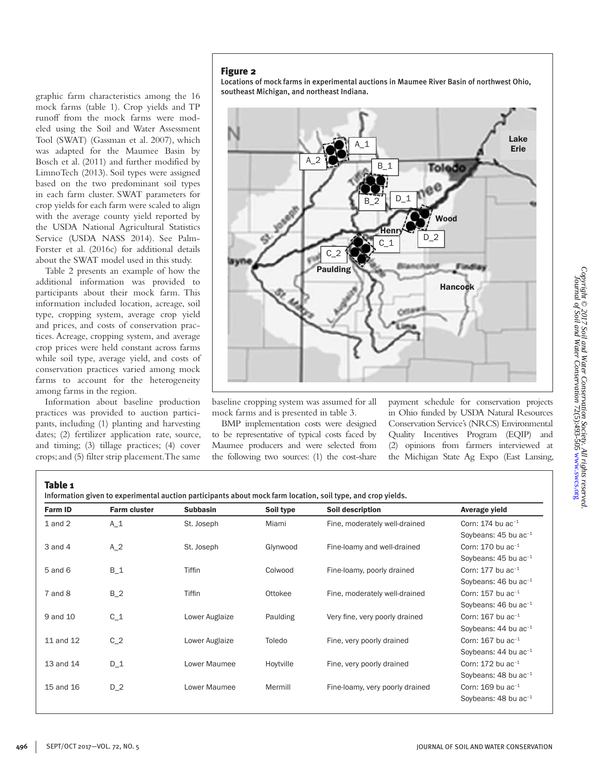# Figure 2

graphic farm characteristics among the 16 mock farms (table 1). Crop yields and TP runoff from the mock farms were modeled using the Soil and Water Assessment Tool (SWAT) (Gassman et al. 2007), which was adapted for the Maumee Basin by Bosch et al. (2011) and further modified by LimnoTech (2013). Soil types were assigned based on the two predominant soil types in each farm cluster. SWAT parameters for crop yields for each farm were scaled to align with the average county yield reported by the USDA National Agricultural Statistics Service (USDA NASS 2014). See Palm-Forster et al. (2016c) for additional details about the SWAT model used in this study. Table 2 presents an example of how the additional information was provided to participants about their mock farm. This information included location, acreage, soil type, cropping system, average crop yield and prices, and costs of conservation practices. Acreage, cropping system, and average crop prices were held constant across farms while soil type, average yield, and costs of conservation practices varied among mock farms to account for the heterogeneity

Locations of mock farms in experimental auctions in Maumee River Basin of northwest Ohio, southeast Michigan, and northeast Indiana.



baseline cropping system was assumed for all mock farms and is presented in table 3.

BMP implementation costs were designed to be representative of typical costs faced by Maumee producers and were selected from the following two sources: (1) the cost-share

payment schedule for conservation projects in Ohio funded by USDA Natural Resources Conservation Service's (NRCS) Environmental Quality Incentives Program (EQIP) and (2) opinions from farmers interviewed at the Michigan State Ag Expo (East Lansing,

Table 1

among farms in the region.

Information about baseline production practices was provided to auction participants, including (1) planting and harvesting dates; (2) fertilizer application rate, source, and timing; (3) tillage practices; (4) cover crops; and (5) filter strip placement. The same

| Information given to experimental auction participants about mock farm location, soil type, and crop yields. |  |  |  |
|--------------------------------------------------------------------------------------------------------------|--|--|--|
|--------------------------------------------------------------------------------------------------------------|--|--|--|

| <b>Farm ID</b> | <b>Farm cluster</b> | <b>Subbasin</b> | Soil type | Soil description                | Average yield                      |
|----------------|---------------------|-----------------|-----------|---------------------------------|------------------------------------|
| $1$ and $2$    | $A_1$               | St. Joseph      | Miami     | Fine, moderately well-drained   | Corn: 174 bu $ac^{-1}$             |
|                |                     |                 |           |                                 | Soybeans: 45 bu ac <sup>-1</sup>   |
| $3$ and $4$    | $A_2$               | St. Joseph      | Glynwood  | Fine-loamy and well-drained     | Corn: 170 bu $ac^{-1}$             |
|                |                     |                 |           |                                 | Soybeans: 45 bu ac <sup>-1</sup>   |
| $5$ and $6$    | $B_1$               | <b>Tiffin</b>   | Colwood   | Fine-loamy, poorly drained      | Corn: $177$ bu ac <sup>-1</sup>    |
|                |                     |                 |           |                                 | Soybeans: $46$ bu ac <sup>-1</sup> |
| 7 and 8        | $B_2$               | <b>Tiffin</b>   | Ottokee   | Fine, moderately well-drained   | Corn: $157$ bu ac <sup>-1</sup>    |
|                |                     |                 |           |                                 | Soybeans: 46 bu ac <sup>-1</sup>   |
| 9 and 10       | $C_1$               | Lower Auglaize  | Paulding  | Very fine, very poorly drained  | Corn: 167 bu ac-1                  |
|                |                     |                 |           |                                 | Soybeans: $44$ bu ac <sup>-1</sup> |
| 11 and 12      | $C_2$               | Lower Auglaize  | Toledo    | Fine, very poorly drained       | Corn: $167$ bu ac <sup>-1</sup>    |
|                |                     |                 |           |                                 | Soybeans: $44$ bu ac <sup>-1</sup> |
| 13 and 14      | $D_1$               | Lower Maumee    | Hoytville | Fine, very poorly drained       | Corn: $172$ bu ac <sup>-1</sup>    |
|                |                     |                 |           |                                 | Soybeans: 48 bu ac <sup>-1</sup>   |
| 15 and 16      | $D_2$               | Lower Maumee    | Mermill   | Fine-loamy, very poorly drained | Corn: $169$ bu ac <sup>-1</sup>    |
|                |                     |                 |           |                                 | Soybeans: $48$ bu ac <sup>-1</sup> |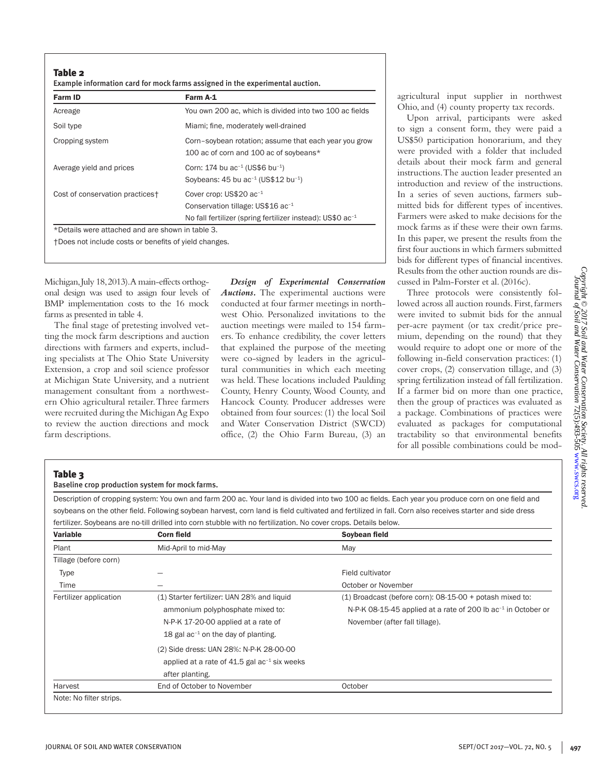Table 2

| Example information card for mock farms assigned in the experimental auction. |  |
|-------------------------------------------------------------------------------|--|
|-------------------------------------------------------------------------------|--|

| Farm ID                                               | Farm A-1                                                                                                                                            |
|-------------------------------------------------------|-----------------------------------------------------------------------------------------------------------------------------------------------------|
| Acreage                                               | You own 200 ac, which is divided into two 100 ac fields                                                                                             |
| Soil type                                             | Miami; fine, moderately well-drained                                                                                                                |
| Cropping system                                       | Corn-soybean rotation; assume that each year you grow<br>100 ac of corn and 100 ac of soybeans*                                                     |
| Average yield and prices                              | Corn: 174 bu ac <sup>-1</sup> (US\$6 bu <sup>-1</sup> )<br>Soybeans: $45$ bu ac <sup>-1</sup> (US\$12 bu <sup>-1</sup> )                            |
| Cost of conservation practices+                       | Cover crop: US\$20 ac <sup>-1</sup><br>Conservation tillage: US\$16 ac <sup>-1</sup><br>No fall fertilizer (spring fertilizer instead): $US$0 ac-1$ |
| *Details were attached and are shown in table 3.      |                                                                                                                                                     |
| +Does not include costs or benefits of yield changes. |                                                                                                                                                     |

Michigan, July 18, 2013). A main-effects orthogonal design was used to assign four levels of BMP implementation costs to the 16 mock farms as presented in table 4.

The final stage of pretesting involved vetting the mock farm descriptions and auction directions with farmers and experts, including specialists at The Ohio State University Extension, a crop and soil science professor at Michigan State University, and a nutrient management consultant from a northwestern Ohio agricultural retailer. Three farmers were recruited during the Michigan Ag Expo to review the auction directions and mock farm descriptions.

*Design of Experimental Conservation Auctions.* The experimental auctions were conducted at four farmer meetings in northwest Ohio. Personalized invitations to the auction meetings were mailed to 154 farmers. To enhance credibility, the cover letters that explained the purpose of the meeting were co-signed by leaders in the agricultural communities in which each meeting was held. These locations included Paulding County, Henry County, Wood County, and Hancock County. Producer addresses were obtained from four sources: (1) the local Soil and Water Conservation District (SWCD) office, (2) the Ohio Farm Bureau, (3) an agricultural input supplier in northwest Ohio, and (4) county property tax records.

Upon arrival, participants were asked to sign a consent form, they were paid a US\$50 participation honorarium, and they were provided with a folder that included details about their mock farm and general instructions. The auction leader presented an introduction and review of the instructions. In a series of seven auctions, farmers submitted bids for different types of incentives. Farmers were asked to make decisions for the mock farms as if these were their own farms. In this paper, we present the results from the first four auctions in which farmers submitted bids for different types of financial incentives. Results from the other auction rounds are discussed in Palm-Forster et al. (2016c).

Three protocols were consistently followed across all auction rounds. First, farmers were invited to submit bids for the annual per-acre payment (or tax credit/price premium, depending on the round) that they would require to adopt one or more of the following in-field conservation practices: (1) cover crops, (2) conservation tillage, and (3) spring fertilization instead of fall fertilization. If a farmer bid on more than one practice, then the group of practices was evaluated as a package. Combinations of practices were evaluated as packages for computational tractability so that environmental benefits for all possible combinations could be modCopyright © 2017 Soil and Water Conservation Society. All rights reserved<br>Uournal of Soil and Water Conservation 72(5):493-505 www.swcs.org *Copyright © 2017 Soil and Water Conservation Society. All rights reserved.* [www.swcs.org](http://www.swcs.org) 72(5):493-505*Journal of Soil and Water Conservation*

## Table 3

Baseline crop production system for mock farms.

Description of cropping system: You own and farm 200 ac. Your land is divided into two 100 ac fields. Each year you produce corn on one field and soybeans on the other field. Following soybean harvest, corn land is field cultivated and fertilized in fall. Corn also receives starter and side dress fertilizer. Soybeans are no-till drilled into corn stubble with no fertilization. No cover crops. Details below.

| <b>Variable</b>         | <b>Corn field</b>                                                                                                                                                                                            | Soybean field                                                                                                                                                             |
|-------------------------|--------------------------------------------------------------------------------------------------------------------------------------------------------------------------------------------------------------|---------------------------------------------------------------------------------------------------------------------------------------------------------------------------|
| Plant                   | Mid-April to mid-May                                                                                                                                                                                         | May                                                                                                                                                                       |
| Tillage (before corn)   |                                                                                                                                                                                                              |                                                                                                                                                                           |
| Type                    |                                                                                                                                                                                                              | Field cultivator                                                                                                                                                          |
| Time                    |                                                                                                                                                                                                              | October or November                                                                                                                                                       |
| Fertilizer application  | (1) Starter fertilizer: UAN 28% and liquid<br>ammonium polyphosphate mixed to:<br>N-P-K 17-20-00 applied at a rate of<br>18 gal $ac^{-1}$ on the day of planting.<br>(2) Side dress: UAN 28%: N-P-K 28-00-00 | $(1)$ Broadcast (before corn): 08-15-00 + potash mixed to:<br>N-P-K 08-15-45 applied at a rate of 200 lb ac <sup>-1</sup> in October or<br>November (after fall tillage). |
| Harvest                 | applied at a rate of $41.5$ gal ac <sup>-1</sup> six weeks<br>after planting.<br>End of October to November                                                                                                  | October                                                                                                                                                                   |
| Note: No filter strips. |                                                                                                                                                                                                              |                                                                                                                                                                           |

JOURNAL OF SOIL AND WATER CONSERVATION SEPT/OCT 2017—VOL. 72, NO. 5 **497**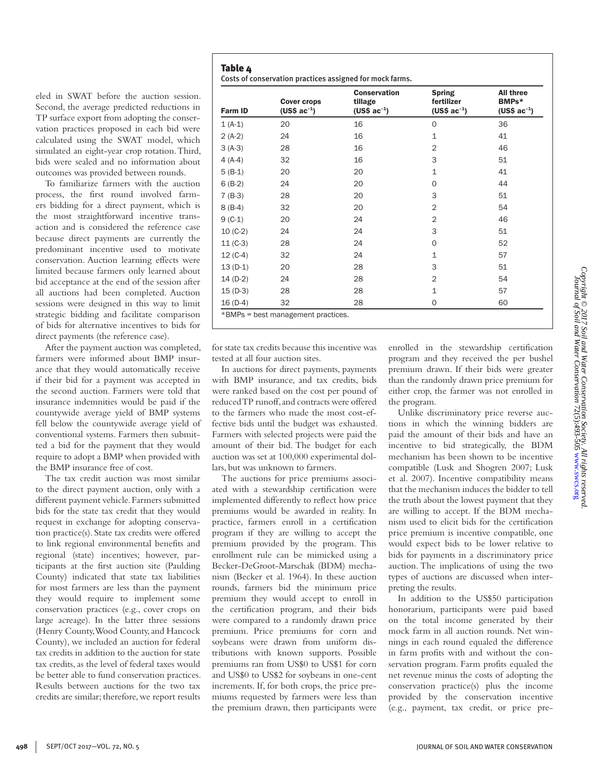eled in SWAT before the auction session. Second, the average predicted reductions in TP surface export from adopting the conservation practices proposed in each bid were calculated using the SWAT model, which simulated an eight-year crop rotation. Third, bids were sealed and no information about outcomes was provided between rounds.

To familiarize farmers with the auction process, the first round involved farmers bidding for a direct payment, which is the most straightforward incentive transaction and is considered the reference case because direct payments are currently the predominant incentive used to motivate conservation. Auction learning effects were limited because farmers only learned about bid acceptance at the end of the session after all auctions had been completed. Auction sessions were designed in this way to limit strategic bidding and facilitate comparison of bids for alternative incentives to bids for direct payments (the reference case).

After the payment auction was completed, farmers were informed about BMP insurance that they would automatically receive if their bid for a payment was accepted in the second auction. Farmers were told that insurance indemnities would be paid if the countywide average yield of BMP systems fell below the countywide average yield of conventional systems. Farmers then submitted a bid for the payment that they would require to adopt a BMP when provided with the BMP insurance free of cost.

The tax credit auction was most similar to the direct payment auction, only with a different payment vehicle. Farmers submitted bids for the state tax credit that they would request in exchange for adopting conservation practice(s). State tax credits were offered to link regional environmental benefits and regional (state) incentives; however, participants at the first auction site (Paulding County) indicated that state tax liabilities for most farmers are less than the payment they would require to implement some conservation practices (e.g., cover crops on large acreage). In the latter three sessions (Henry County, Wood County, and Hancock County), we included an auction for federal tax credits in addition to the auction for state tax credits, as the level of federal taxes would be better able to fund conservation practices. Results between auctions for the two tax credits are similar; therefore, we report results

| <b>Farm ID</b> | <b>Cover crops</b><br>(US\$ $ac^{-1}$ ) | <b>Conservation</b><br>tillage<br>$(US$~ac^{-1})$ | <b>Spring</b><br>fertilizer<br>$(US$~ac^{-1})$ | All three<br>BMPs*<br>$(US$~ac^{-1})$ |
|----------------|-----------------------------------------|---------------------------------------------------|------------------------------------------------|---------------------------------------|
| $1(A-1)$       | 20                                      | 16                                                | $\mathbf 0$                                    | 36                                    |
| $2(A-2)$       | 24                                      | 16                                                | $\mathbf{1}$                                   | 41                                    |
| $3(A-3)$       | 28                                      | 16                                                | $\overline{2}$                                 | 46                                    |
| $4(A-4)$       | 32                                      | 16                                                | 3                                              | 51                                    |
| $5(B-1)$       | 20                                      | 20                                                | $\mathbf{1}$                                   | 41                                    |
| $6(B-2)$       | 24                                      | 20                                                | $\Omega$                                       | 44                                    |
| $7 (B-3)$      | 28                                      | 20                                                | 3                                              | 51                                    |
| $8(B-4)$       | 32                                      | 20                                                | $\overline{2}$                                 | 54                                    |
| $9 (C-1)$      | 20                                      | 24                                                | $\overline{2}$                                 | 46                                    |
| $10 (C-2)$     | 24                                      | 24                                                | 3                                              | 51                                    |
| $11 (C-3)$     | 28                                      | 24                                                | $\Omega$                                       | 52                                    |
| $12 (C-4)$     | 32                                      | 24                                                | $\mathbf{1}$                                   | 57                                    |
| $13(D-1)$      | 20                                      | 28                                                | 3                                              | 51                                    |
| $14(D-2)$      | 24                                      | 28                                                | $\overline{2}$                                 | 54                                    |
| 15 (D-3)       | 28                                      | 28                                                | $\mathbf{1}$                                   | 57                                    |
| $16(D-4)$      | 32                                      | 28                                                | 0                                              | 60                                    |

for state tax credits because this incentive was tested at all four auction sites.

Table 4

In auctions for direct payments, payments with BMP insurance, and tax credits, bids were ranked based on the cost per pound of reduced TP runoff, and contracts were offered to the farmers who made the most cost-effective bids until the budget was exhausted. Farmers with selected projects were paid the amount of their bid. The budget for each auction was set at 100,000 experimental dollars, but was unknown to farmers.

The auctions for price premiums associated with a stewardship certification were implemented differently to reflect how price premiums would be awarded in reality. In practice, farmers enroll in a certification program if they are willing to accept the premium provided by the program. This enrollment rule can be mimicked using a Becker-DeGroot-Marschak (BDM) mechanism (Becker et al. 1964). In these auction rounds, farmers bid the minimum price premium they would accept to enroll in the certification program, and their bids were compared to a randomly drawn price premium. Price premiums for corn and soybeans were drawn from uniform distributions with known supports. Possible premiums ran from US\$0 to US\$1 for corn and US\$0 to US\$2 for soybeans in one-cent increments. If, for both crops, the price premiums requested by farmers were less than the premium drawn, then participants were enrolled in the stewardship certification program and they received the per bushel premium drawn. If their bids were greater than the randomly drawn price premium for either crop, the farmer was not enrolled in the program.

Unlike discriminatory price reverse auctions in which the winning bidders are paid the amount of their bids and have an incentive to bid strategically, the BDM mechanism has been shown to be incentive compatible (Lusk and Shogren 2007; Lusk et al. 2007). Incentive compatibility means that the mechanism induces the bidder to tell the truth about the lowest payment that they are willing to accept. If the BDM mechanism used to elicit bids for the certification price premium is incentive compatible, one would expect bids to be lower relative to bids for payments in a discriminatory price auction. The implications of using the two types of auctions are discussed when interpreting the results.

In addition to the US\$50 participation honorarium, participants were paid based on the total income generated by their mock farm in all auction rounds. Net winnings in each round equaled the difference in farm profits with and without the conservation program. Farm profits equaled the net revenue minus the costs of adopting the conservation practice(s) plus the income provided by the conservation incentive (e.g., payment, tax credit, or price pre-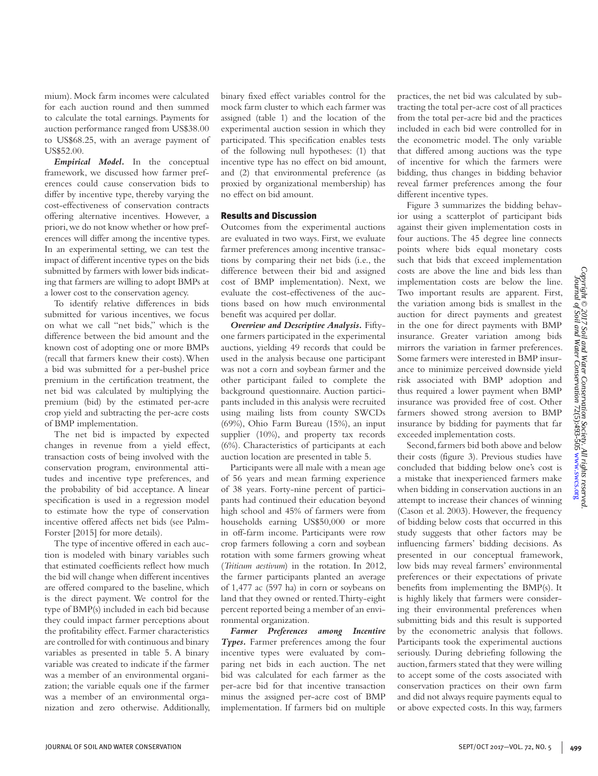of incentive for which the farmers were bidding, thus changes in bidding behavior reveal farmer preferences among the four

Copyright © 2017 Soil and Water Conservation Society. All rights reserved<br>Uournal of Soil and Water Conservation 72(5):493-505 www.swcs.org *Copyright © 2017 Soil and Water Conservation Society. All rights reserved.* [www.swcs.org](http://www.swcs.org) 72(5):493-505*Journal of Soil and Water Conservation*

Figure 3 summarizes the bidding behavior using a scatterplot of participant bids against their given implementation costs in four auctions. The 45 degree line connects points where bids equal monetary costs such that bids that exceed implementation costs are above the line and bids less than implementation costs are below the line. Two important results are apparent. First, the variation among bids is smallest in the auction for direct payments and greatest in the one for direct payments with BMP insurance. Greater variation among bids mirrors the variation in farmer preferences. Some farmers were interested in BMP insurance to minimize perceived downside yield risk associated with BMP adoption and thus required a lower payment when BMP insurance was provided free of cost. Other farmers showed strong aversion to BMP insurance by bidding for payments that far exceeded implementation costs.

practices, the net bid was calculated by subtracting the total per-acre cost of all practices from the total per-acre bid and the practices included in each bid were controlled for in the econometric model. The only variable that differed among auctions was the type

different incentive types.

Second, farmers bid both above and below their costs (figure 3). Previous studies have concluded that bidding below one's cost is a mistake that inexperienced farmers make when bidding in conservation auctions in an attempt to increase their chances of winning (Cason et al. 2003). However, the frequency of bidding below costs that occurred in this study suggests that other factors may be influencing farmers' bidding decisions. As presented in our conceptual framework, low bids may reveal farmers' environmental preferences or their expectations of private benefits from implementing the BMP(s). It is highly likely that farmers were considering their environmental preferences when submitting bids and this result is supported by the econometric analysis that follows. Participants took the experimental auctions seriously. During debriefing following the auction, farmers stated that they were willing to accept some of the costs associated with conservation practices on their own farm and did not always require payments equal to or above expected costs. In this way, farmers

mium). Mock farm incomes were calculated for each auction round and then summed to calculate the total earnings. Payments for auction performance ranged from US\$38.00 to US\$68.25, with an average payment of US\$52.00.

*Empirical Model.* In the conceptual framework, we discussed how farmer preferences could cause conservation bids to differ by incentive type, thereby varying the cost-effectiveness of conservation contracts offering alternative incentives. However, a priori, we do not know whether or how preferences will differ among the incentive types. In an experimental setting, we can test the impact of different incentive types on the bids submitted by farmers with lower bids indicating that farmers are willing to adopt BMPs at a lower cost to the conservation agency.

To identify relative differences in bids submitted for various incentives, we focus on what we call "net bids," which is the difference between the bid amount and the known cost of adopting one or more BMPs (recall that farmers knew their costs). When a bid was submitted for a per-bushel price premium in the certification treatment, the net bid was calculated by multiplying the premium (bid) by the estimated per-acre crop yield and subtracting the per-acre costs of BMP implementation.

The net bid is impacted by expected changes in revenue from a yield effect, transaction costs of being involved with the conservation program, environmental attitudes and incentive type preferences, and the probability of bid acceptance. A linear specification is used in a regression model to estimate how the type of conservation incentive offered affects net bids (see Palm-Forster [2015] for more details).

The type of incentive offered in each auction is modeled with binary variables such that estimated coefficients reflect how much the bid will change when different incentives are offered compared to the baseline, which is the direct payment. We control for the type of BMP(s) included in each bid because they could impact farmer perceptions about the profitability effect. Farmer characteristics are controlled for with continuous and binary variables as presented in table 5. A binary variable was created to indicate if the farmer was a member of an environmental organization; the variable equals one if the farmer was a member of an environmental organization and zero otherwise. Additionally, binary fixed effect variables control for the mock farm cluster to which each farmer was assigned (table 1) and the location of the experimental auction session in which they participated. This specification enables tests of the following null hypotheses: (1) that incentive type has no effect on bid amount, and (2) that environmental preference (as proxied by organizational membership) has no effect on bid amount.

## Results and Discussion

Outcomes from the experimental auctions are evaluated in two ways. First, we evaluate farmer preferences among incentive transactions by comparing their net bids (i.e., the difference between their bid and assigned cost of BMP implementation). Next, we evaluate the cost-effectiveness of the auctions based on how much environmental benefit was acquired per dollar.

*Overview and Descriptive Analysis.* Fiftyone farmers participated in the experimental auctions, yielding 49 records that could be used in the analysis because one participant was not a corn and soybean farmer and the other participant failed to complete the background questionnaire. Auction participants included in this analysis were recruited using mailing lists from county SWCDs (69%), Ohio Farm Bureau (15%), an input supplier (10%), and property tax records (6%). Characteristics of participants at each auction location are presented in table 5.

Participants were all male with a mean age of 56 years and mean farming experience of 38 years. Forty-nine percent of participants had continued their education beyond high school and 45% of farmers were from households earning US\$50,000 or more in off-farm income. Participants were row crop farmers following a corn and soybean rotation with some farmers growing wheat (*Triticum aestivum*) in the rotation. In 2012, the farmer participants planted an average of 1,477 ac (597 ha) in corn or soybeans on land that they owned or rented. Thirty-eight percent reported being a member of an environmental organization.

*Farmer Preferences among Incentive Types.* Farmer preferences among the four incentive types were evaluated by comparing net bids in each auction. The net bid was calculated for each farmer as the per-acre bid for that incentive transaction minus the assigned per-acre cost of BMP implementation. If farmers bid on multiple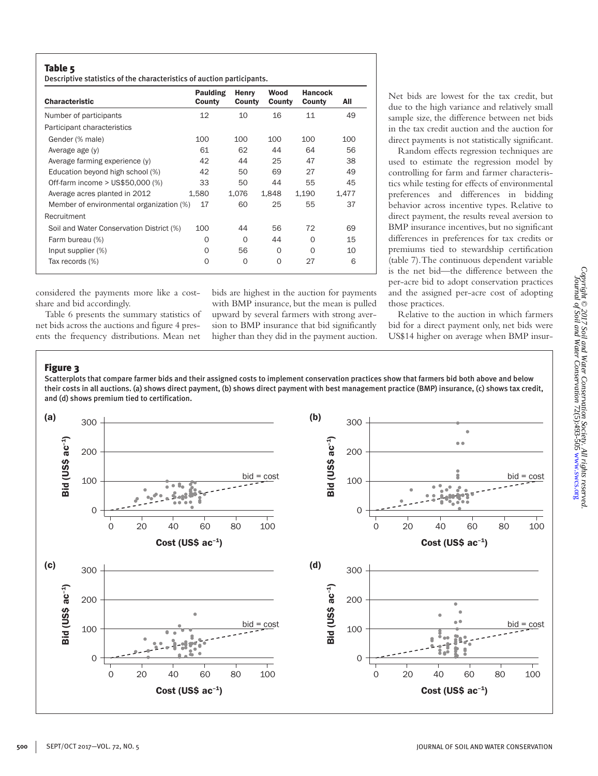## Table 5

Descriptive statistics of the characteristics of auction participants.

| <b>Characteristic</b>                    | Paulding<br>County | Henry<br>County | Wood<br>County | <b>Hancock</b><br>County | All   |
|------------------------------------------|--------------------|-----------------|----------------|--------------------------|-------|
| Number of participants                   | 12                 | 10              | 16             | 11                       | 49    |
| Participant characteristics              |                    |                 |                |                          |       |
| Gender (% male)                          | 100                | 100             | 100            | 100                      | 100   |
| Average age (y)                          | 61                 | 62              | 44             | 64                       | 56    |
| Average farming experience (y)           | 42                 | 44              | 25             | 47                       | 38    |
| Education beyond high school (%)         | 42                 | 50              | 69             | 27                       | 49    |
| Off-farm income > US\$50,000 (%)         | 33                 | 50              | 44             | 55                       | 45    |
| Average acres planted in 2012            | 1,580              | 1,076           | 1,848          | 1,190                    | 1,477 |
| Member of environmental organization (%) | 17                 | 60              | 25             | 55                       | 37    |
| Recruitment                              |                    |                 |                |                          |       |
| Soil and Water Conservation District (%) | 100                | 44              | 56             | 72                       | 69    |
| Farm bureau (%)                          | $\Omega$           | $\Omega$        | 44             | O                        | 15    |
| Input supplier (%)                       | O                  | 56              | $\Omega$       | $\Omega$                 | 10    |
| Tax records (%)                          | $\Omega$           | $\mathbf 0$     | 0              | 27                       | 6     |

considered the payments more like a costshare and bid accordingly.

Table 6 presents the summary statistics of net bids across the auctions and figure 4 presents the frequency distributions. Mean net

bids are highest in the auction for payments with BMP insurance, but the mean is pulled upward by several farmers with strong aversion to BMP insurance that bid significantly higher than they did in the payment auction. Net bids are lowest for the tax credit, but due to the high variance and relatively small sample size, the difference between net bids in the tax credit auction and the auction for direct payments is not statistically significant.

Random effects regression techniques are used to estimate the regression model by controlling for farm and farmer characteristics while testing for effects of environmental preferences and differences in bidding behavior across incentive types. Relative to direct payment, the results reveal aversion to BMP insurance incentives, but no significant differences in preferences for tax credits or premiums tied to stewardship certification (table 7). The continuous dependent variable is the net bid—the difference between the per-acre bid to adopt conservation practices and the assigned per-acre cost of adopting those practices.

Relative to the auction in which farmers bid for a direct payment only, net bids were US\$14 higher on average when BMP insur-

# Figure 3

Scatterplots that compare farmer bids and their assigned costs to implement conservation practices show that farmers bid both above and below their costs in all auctions. (a) shows direct payment, (b) shows direct payment with best management practice (BMP) insurance, (c) shows tax credit, and (d) shows premium tied to certification.

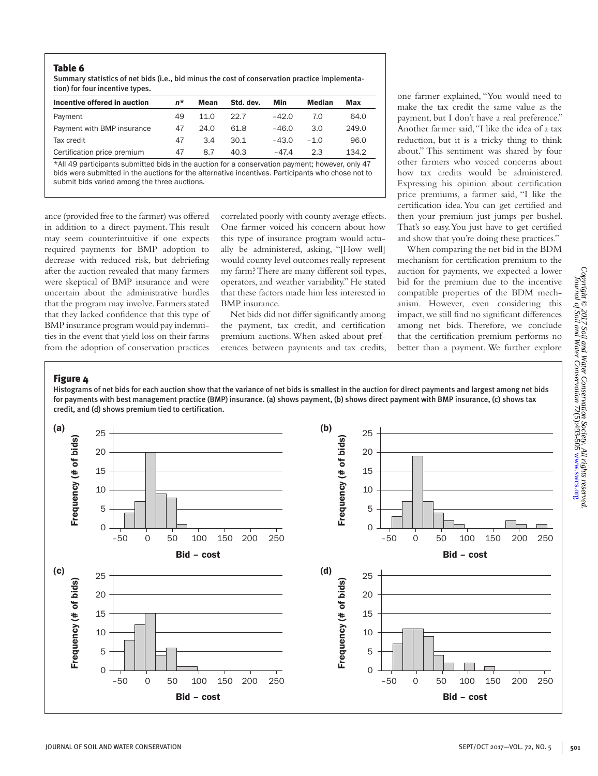## Table 6

Summary statistics of net bids (i.e., bid minus the cost of conservation practice implementation) for four incentive types.

| Incentive offered in auction | n* | Mean | Std. dev. | Min     | Median | Max   |
|------------------------------|----|------|-----------|---------|--------|-------|
| Payment                      | 49 | 11.0 | 22.7      | $-42.0$ | 7.0    | 64.0  |
| Payment with BMP insurance   | 47 | 24.0 | 61.8      | $-46.0$ | 3.O    | 249.0 |
| Tax credit                   | 47 | 3.4  | 30.1      | $-43.0$ | $-1.0$ | 96.0  |
| Certification price premium  | 47 | 8.7  | 40.3      | $-47.4$ | 23     | 134.2 |

\*All 49 participants submitted bids in the auction for a conservation payment; however, only 47 bids were submitted in the auctions for the alternative incentives. Participants who chose not to submit bids varied among the three auctions.

ance (provided free to the farmer) was offered in addition to a direct payment. This result may seem counterintuitive if one expects required payments for BMP adoption to decrease with reduced risk, but debriefing after the auction revealed that many farmers were skeptical of BMP insurance and were uncertain about the administrative hurdles that the program may involve. Farmers stated that they lacked confidence that this type of BMP insurance program would pay indemnities in the event that yield loss on their farms from the adoption of conservation practices

correlated poorly with county average effects. One farmer voiced his concern about how this type of insurance program would actually be administered, asking, "[How well] would county level outcomes really represent my farm? There are many different soil types, operators, and weather variability." He stated that these factors made him less interested in BMP insurance.

Net bids did not differ significantly among the payment, tax credit, and certification premium auctions. When asked about preferences between payments and tax credits,

one farmer explained, "You would need to make the tax credit the same value as the payment, but I don't have a real preference." Another farmer said, "I like the idea of a tax reduction, but it is a tricky thing to think about." This sentiment was shared by four other farmers who voiced concerns about how tax credits would be administered. Expressing his opinion about certification price premiums, a farmer said, "I like the certification idea. You can get certified and then your premium just jumps per bushel. That's so easy. You just have to get certified and show that you're doing these practices."

When comparing the net bid in the BDM mechanism for certification premium to the auction for payments, we expected a lower bid for the premium due to the incentive compatible properties of the BDM mechanism. However, even considering this impact, we still find no significant differences among net bids. Therefore, we conclude that the certification premium performs no better than a payment. We further explore

# Figure 4

Histograms of net bids for each auction show that the variance of net bids is smallest in the auction for direct payments and largest among net bids for payments with best management practice (BMP) insurance. (a) shows payment, (b) shows direct payment with BMP insurance, (c) shows tax credit, and (d) shows premium tied to certification.

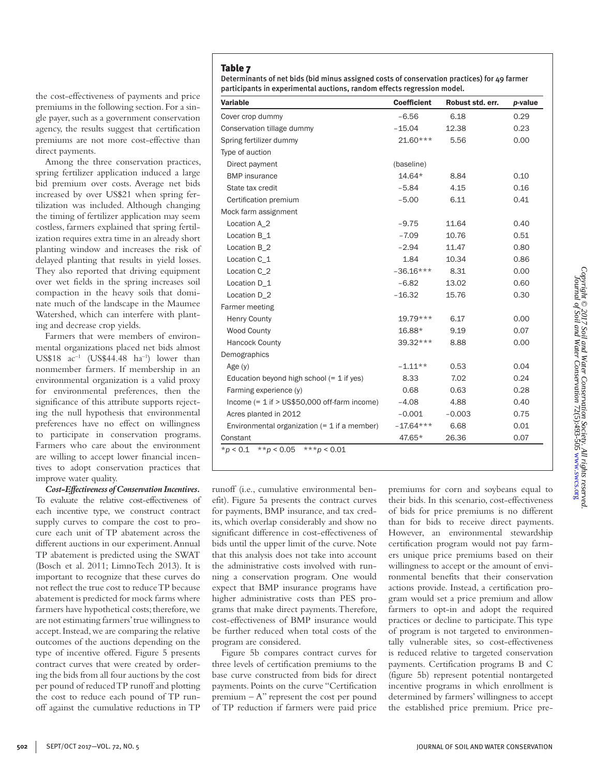Determinants of net bids (bid minus assigned costs of conservation practices) for 49 farmer participants in experimental auctions, random effects regression model.

| Variable                                         | <b>Coefficient</b> | Robust std. err. | p-value |
|--------------------------------------------------|--------------------|------------------|---------|
| Cover crop dummy                                 | $-6.56$            | 6.18             | 0.29    |
| Conservation tillage dummy                       | $-15.04$           | 12.38            | 0.23    |
| Spring fertilizer dummy                          | 21.60***           | 5.56             | 0.00    |
| Type of auction                                  |                    |                  |         |
| Direct payment                                   | (baseline)         |                  |         |
| <b>BMP</b> insurance                             | 14.64*             | 8.84             | 0.10    |
| State tax credit                                 | $-5.84$            | 4.15             | 0.16    |
| Certification premium                            | $-5.00$            | 6.11             | 0.41    |
| Mock farm assignment                             |                    |                  |         |
| Location A 2                                     | $-9.75$            | 11.64            | 0.40    |
| Location B_1                                     | $-7.09$            | 10.76            | 0.51    |
| Location B_2                                     | $-2.94$            | 11.47            | 0.80    |
| Location C 1                                     | 1.84               | 10.34            | 0.86    |
| Location C_2                                     | $-36.16***$        | 8.31             | 0.00    |
| Location D_1                                     | $-6.82$            | 13.02            | 0.60    |
| Location D 2                                     | $-16.32$           | 15.76            | 0.30    |
| Farmer meeting                                   |                    |                  |         |
| <b>Henry County</b>                              | 19.79***           | 6.17             | 0.00    |
| <b>Wood County</b>                               | 16.88*             | 9.19             | 0.07    |
| <b>Hancock County</b>                            | 39.32***           | 8.88             | 0.00    |
| Demographics                                     |                    |                  |         |
| Age $(y)$                                        | $-1.11**$          | 0.53             | 0.04    |
| Education beyond high school $(= 1$ if yes)      | 8.33               | 7.02             | 0.24    |
| Farming experience (y)                           | 0.68               | 0.63             | 0.28    |
| Income $(= 1$ if $>$ US\$50,000 off-farm income) | $-4.08$            | 4.88             | 0.40    |
| Acres planted in 2012                            | $-0.001$           | $-0.003$         | 0.75    |
| Environmental organization $(= 1$ if a member)   | $-17.64***$        | 6.68             | 0.01    |
| Constant                                         | 47.65*             | 26.36            | 0.07    |
| ** $p < 0.05$<br>***p < 0.01<br>$*_{p}$ < 0.1    |                    |                  |         |

runoff (i.e., cumulative environmental benefit). Figure 5a presents the contract curves for payments, BMP insurance, and tax credits, which overlap considerably and show no significant difference in cost-effectiveness of bids until the upper limit of the curve. Note that this analysis does not take into account the administrative costs involved with running a conservation program. One would expect that BMP insurance programs have higher administrative costs than PES programs that make direct payments. Therefore, cost-effectiveness of BMP insurance would be further reduced when total costs of the program are considered.

Figure 5b compares contract curves for three levels of certification premiums to the base curve constructed from bids for direct payments. Points on the curve "Certification premium  $-A$ " represent the cost per pound of TP reduction if farmers were paid price premiums for corn and soybeans equal to their bids. In this scenario, cost-effectiveness of bids for price premiums is no different than for bids to receive direct payments. However, an environmental stewardship certification program would not pay farmers unique price premiums based on their willingness to accept or the amount of environmental benefits that their conservation actions provide. Instead, a certification program would set a price premium and allow farmers to opt-in and adopt the required practices or decline to participate. This type of program is not targeted to environmentally vulnerable sites, so cost-effectiveness is reduced relative to targeted conservation payments. Certification programs B and C (figure 5b) represent potential nontargeted incentive programs in which enrollment is determined by farmers' willingness to accept the established price premium. Price pre-

the cost-effectiveness of payments and price premiums in the following section. For a single payer, such as a government conservation agency, the results suggest that certification premiums are not more cost-effective than direct payments.

Among the three conservation practices, spring fertilizer application induced a large bid premium over costs. Average net bids increased by over US\$21 when spring fertilization was included. Although changing the timing of fertilizer application may seem costless, farmers explained that spring fertilization requires extra time in an already short planting window and increases the risk of delayed planting that results in yield losses. They also reported that driving equipment over wet fields in the spring increases soil compaction in the heavy soils that dominate much of the landscape in the Maumee Watershed, which can interfere with planting and decrease crop yields.

Farmers that were members of environmental organizations placed net bids almost US\$18  $ac^{-1}$  (US\$44.48  $ha^{-1}$ ) lower than nonmember farmers. If membership in an environmental organization is a valid proxy for environmental preferences, then the significance of this attribute supports rejecting the null hypothesis that environmental preferences have no effect on willingness to participate in conservation programs. Farmers who care about the environment are willing to accept lower financial incentives to adopt conservation practices that improve water quality.

*Cost-Effectiveness of Conservation Incentives.* To evaluate the relative cost-effectiveness of each incentive type, we construct contract supply curves to compare the cost to procure each unit of TP abatement across the different auctions in our experiment. Annual TP abatement is predicted using the SWAT (Bosch et al. 2011; LimnoTech 2013). It is important to recognize that these curves do not reflect the true cost to reduce TP because abatement is predicted for mock farms where farmers have hypothetical costs; therefore, we are not estimating farmers' true willingness to accept. Instead, we are comparing the relative outcomes of the auctions depending on the type of incentive offered. Figure 5 presents contract curves that were created by ordering the bids from all four auctions by the cost per pound of reduced TP runoff and plotting the cost to reduce each pound of TP runoff against the cumulative reductions in TP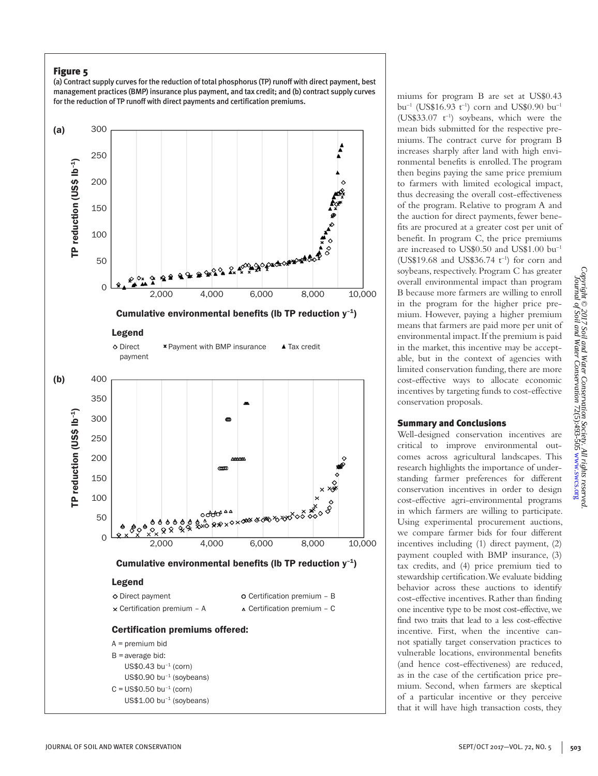# Figure 5

(a) Contract supply curves for the reduction of total phosphorus (TP) runoff with direct payment, best management practices (BMP) insurance plus payment, and tax credit; and (b) contract supply curves for the reduction of TP runoff with direct payments and certification premiums.



miums for program B are set at US\$0.43 bu<sup>-1</sup> (US\$16.93 t<sup>-1</sup>) corn and US\$0.90 bu<sup>-1</sup> (US\$33.07  $t^{-1}$ ) soybeans, which were the mean bids submitted for the respective premiums. The contract curve for program B increases sharply after land with high environmental benefits is enrolled. The program then begins paying the same price premium to farmers with limited ecological impact, thus decreasing the overall cost-effectiveness of the program. Relative to program A and the auction for direct payments, fewer benefits are procured at a greater cost per unit of benefit. In program C, the price premiums are increased to US\$0.50 and US\$1.00 bu–1 (US\$19.68 and US\$36.74  $t^{-1}$ ) for corn and soybeans, respectively. Program C has greater overall environmental impact than program B because more farmers are willing to enroll in the program for the higher price premium. However, paying a higher premium means that farmers are paid more per unit of environmental impact. If the premium is paid in the market, this incentive may be acceptable, but in the context of agencies with limited conservation funding, there are more cost-effective ways to allocate economic incentives by targeting funds to cost-effective conservation proposals.

## Summary and Conclusions

Well-designed conservation incentives are critical to improve environmental outcomes across agricultural landscapes. This research highlights the importance of understanding farmer preferences for different conservation incentives in order to design cost-effective agri-environmental programs in which farmers are willing to participate. Using experimental procurement auctions, we compare farmer bids for four different incentives including (1) direct payment, (2) payment coupled with BMP insurance, (3) tax credits, and (4) price premium tied to stewardship certification. We evaluate bidding behavior across these auctions to identify cost-effective incentives. Rather than finding one incentive type to be most cost-effective, we find two traits that lead to a less cost-effective incentive. First, when the incentive cannot spatially target conservation practices to vulnerable locations, environmental benefits (and hence cost-effectiveness) are reduced, as in the case of the certification price premium. Second, when farmers are skeptical of a particular incentive or they perceive that it will have high transaction costs, they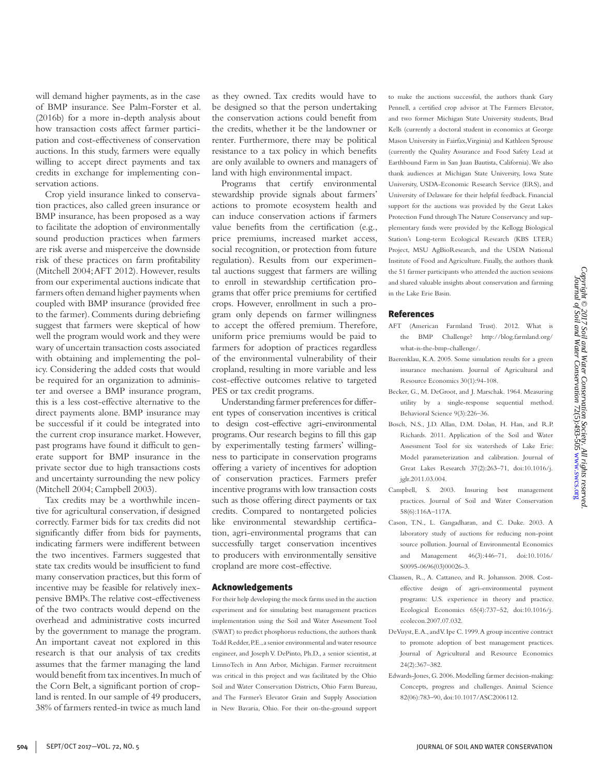will demand higher payments, as in the case of BMP insurance. See Palm-Forster et al. (2016b) for a more in-depth analysis about how transaction costs affect farmer participation and cost-effectiveness of conservation auctions. In this study, farmers were equally willing to accept direct payments and tax credits in exchange for implementing conservation actions.

Crop yield insurance linked to conservation practices, also called green insurance or BMP insurance, has been proposed as a way to facilitate the adoption of environmentally sound production practices when farmers are risk averse and misperceive the downside risk of these practices on farm profitability (Mitchell 2004; AFT 2012). However, results from our experimental auctions indicate that farmers often demand higher payments when coupled with BMP insurance (provided free to the farmer). Comments during debriefing suggest that farmers were skeptical of how well the program would work and they were wary of uncertain transaction costs associated with obtaining and implementing the policy. Considering the added costs that would be required for an organization to administer and oversee a BMP insurance program, this is a less cost-effective alternative to the direct payments alone. BMP insurance may be successful if it could be integrated into the current crop insurance market. However, past programs have found it difficult to generate support for BMP insurance in the private sector due to high transactions costs and uncertainty surrounding the new policy (Mitchell 2004; Campbell 2003).

Tax credits may be a worthwhile incentive for agricultural conservation, if designed correctly. Farmer bids for tax credits did not significantly differ from bids for payments, indicating farmers were indifferent between the two incentives. Farmers suggested that state tax credits would be insufficient to fund many conservation practices, but this form of incentive may be feasible for relatively inexpensive BMPs. The relative cost-effectiveness of the two contracts would depend on the overhead and administrative costs incurred by the government to manage the program. An important caveat not explored in this research is that our analysis of tax credits assumes that the farmer managing the land would benefit from tax incentives. In much of the Corn Belt, a significant portion of cropland is rented. In our sample of 49 producers, 38% of farmers rented-in twice as much land as they owned. Tax credits would have to be designed so that the person undertaking the conservation actions could benefit from the credits, whether it be the landowner or renter. Furthermore, there may be political resistance to a tax policy in which benefits are only available to owners and managers of land with high environmental impact.

Programs that certify environmental stewardship provide signals about farmers' actions to promote ecosystem health and can induce conservation actions if farmers value benefits from the certification (e.g., price premiums, increased market access, social recognition, or protection from future regulation). Results from our experimental auctions suggest that farmers are willing to enroll in stewardship certification programs that offer price premiums for certified crops. However, enrollment in such a program only depends on farmer willingness to accept the offered premium. Therefore, uniform price premiums would be paid to farmers for adoption of practices regardless of the environmental vulnerability of their cropland, resulting in more variable and less cost-effective outcomes relative to targeted PES or tax credit programs.

Understanding farmer preferences for different types of conservation incentives is critical to design cost-effective agri-environmental programs. Our research begins to fill this gap by experimentally testing farmers' willingness to participate in conservation programs offering a variety of incentives for adoption of conservation practices. Farmers prefer incentive programs with low transaction costs such as those offering direct payments or tax credits. Compared to nontargeted policies like environmental stewardship certification, agri-environmental programs that can successfully target conservation incentives to producers with environmentally sensitive cropland are more cost-effective.

#### Acknowledgements

For their help developing the mock farms used in the auction experiment and for simulating best management practices implementation using the Soil and Water Assessment Tool (SWAT) to predict phosphorus reductions, the authors thank Todd Redder, P.E., a senior environmental and water resource engineer, and Joseph V. DePinto, Ph.D., a senior scientist, at LimnoTech in Ann Arbor, Michigan. Farmer recruitment was critical in this project and was facilitated by the Ohio Soil and Water Conservation Districts, Ohio Farm Bureau, and The Farmer's Elevator Grain and Supply Association in New Bavaria, Ohio. For their on-the-ground support

to make the auctions successful, the authors thank Gary Pennell, a certified crop advisor at The Farmers Elevator, and two former Michigan State University students, Brad Kells (currently a doctoral student in economics at George Mason University in Fairfax, Virginia) and Kathleen Sprouse (currently the Quality Assurance and Food Safety Lead at Earthbound Farm in San Juan Bautista, California). We also thank audiences at Michigan State University, Iowa State University, USDA-Economic Research Service (ERS), and University of Delaware for their helpful feedback. Financial support for the auctions was provided by the Great Lakes Protection Fund through The Nature Conservancy and supplementary funds were provided by the Kellogg Biological Station's Long-term Ecological Research (KBS LTER) Project, MSU AgBioResearch, and the USDA National Institute of Food and Agriculture. Finally, the authors thank the 51 farmer participants who attended the auction sessions and shared valuable insights about conservation and farming in the Lake Erie Basin.

#### References

- AFT (American Farmland Trust). 2012. What is the BMP Challenge? http://blog.farmland.org/ what-is-the-bmp-challenge/.
- Baerenklau, K.A. 2005. Some simulation results for a green insurance mechanism. Journal of Agricultural and Resource Economics 30(1):94-108.
- Becker, G., M. DeGroot, and J. Marschak. 1964. Measuring utility by a single-response sequential method. Behavioral Science 9(3):226–36.
- Bosch, N.S., J.D. Allan, D.M. Dolan, H. Han, and R.P. Richards. 2011. Application of the Soil and Water Assessment Tool for six watersheds of Lake Erie: Model parameterization and calibration. Journal of Great Lakes Research 37(2):263–71, doi:10.1016/j. jglr.2011.03.004.
- Campbell, S. 2003. Insuring best management practices. Journal of Soil and Water Conservation 58(6):116A–117A.
- Cason, T.N., L. Gangadharan, and C. Duke. 2003. A laboratory study of auctions for reducing non-point source pollution. Journal of Environmental Economics and Management 46(3):446–71, doi:10.1016/ S0095-0696(03)00026-3.
- Claassen, R., A. Cattaneo, and R. Johansson. 2008. Costeffective design of agri-environmental payment programs: U.S. experience in theory and practice. Ecological Economics 65(4):737–52, doi:10.1016/j. ecolecon.2007.07.032.
- DeVuyst, E.A., and V. Ipe C. 1999. A group incentive contract to promote adoption of best management practices. Journal of Agricultural and Resource Economics 24(2):367–382.
- Edwards-Jones, G. 2006. Modelling farmer decision-making: Concepts, progress and challenges. Animal Science 82(06):783–90, doi:10.1017/ASC2006112.